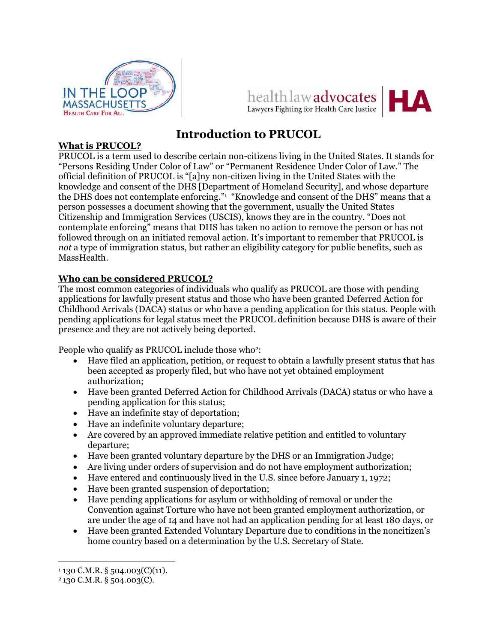



# **Introduction to PRUCOL**

#### **What is PRUCOL?**

PRUCOL is a term used to describe certain non-citizens living in the United States. It stands for "Persons Residing Under Color of Law" or "Permanent Residence Under Color of Law." The official definition of PRUCOL is "[a]ny non-citizen living in the United States with the knowledge and consent of the DHS [Department of Homeland Security], and whose departure the DHS does not contemplate enforcing." "Knowledge and consent of the DHS" means that a person possesses a document showing that the government, usually the United States Citizenship and Immigration Services (USCIS), knows they are in the country. "Does not contemplate enforcing" means that DHS has taken no action to remove the person or has not followed through on an initiated removal action. It's important to remember that PRUCOL is *not* a type of immigration status, but rather an eligibility category for public benefits, such as MassHealth.

### **Who can be considered PRUCOL?**

The most common categories of individuals who qualify as PRUCOL are those with pending applications for lawfully present status and those who have been granted Deferred Action for Childhood Arrivals (DACA) status or who have a pending application for this status. People with pending applications for legal status meet the PRUCOL definition because DHS is aware of their presence and they are not actively being deported.

People who qualify as PRUCOL include those who<sup>2</sup>:

- Have filed an application, petition, or request to obtain a lawfully present status that has been accepted as properly filed, but who have not yet obtained employment authorization;
- Have been granted Deferred Action for Childhood Arrivals (DACA) status or who have a pending application for this status;
- Have an indefinite stay of deportation;
- Have an indefinite voluntary departure;
- Are covered by an approved immediate relative petition and entitled to voluntary departure;
- Have been granted voluntary departure by the DHS or an Immigration Judge;
- Are living under orders of supervision and do not have employment authorization;
- Have entered and continuously lived in the U.S. since before January 1, 1972;
- Have been granted suspension of deportation;
- Have pending applications for asylum or withholding of removal or under the Convention against Torture who have not been granted employment authorization, or are under the age of 14 and have not had an application pending for at least 180 days, or
- Have been granted Extended Voluntary Departure due to conditions in the noncitizen's home country based on a determination by the U.S. Secretary of State.

 $\overline{a}$ 

 $1$  130 C.M.R. § 504.003(C)(11).

<sup>2</sup> 130 C.M.R. § 504.003(C).